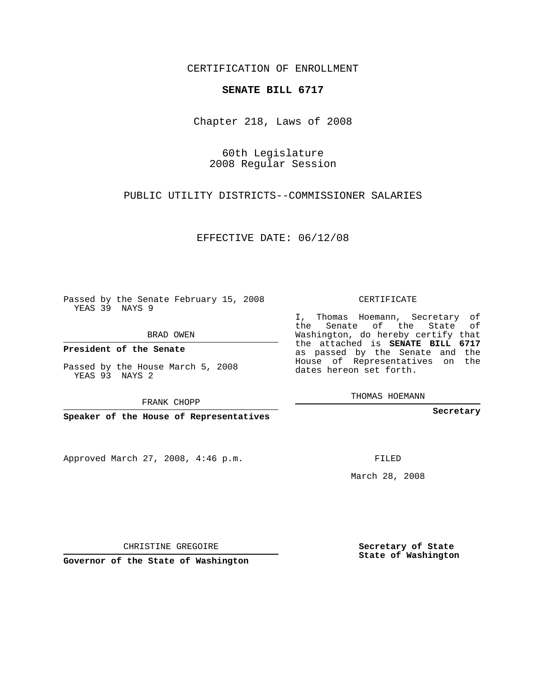CERTIFICATION OF ENROLLMENT

## **SENATE BILL 6717**

Chapter 218, Laws of 2008

60th Legislature 2008 Regular Session

PUBLIC UTILITY DISTRICTS--COMMISSIONER SALARIES

EFFECTIVE DATE: 06/12/08

Passed by the Senate February 15, 2008 YEAS 39 NAYS 9

BRAD OWEN

**President of the Senate**

Passed by the House March 5, 2008 YEAS 93 NAYS 2

FRANK CHOPP

**Speaker of the House of Representatives**

Approved March 27, 2008, 4:46 p.m.

CERTIFICATE

I, Thomas Hoemann, Secretary of the Senate of the State of Washington, do hereby certify that the attached is **SENATE BILL 6717** as passed by the Senate and the House of Representatives on the dates hereon set forth.

THOMAS HOEMANN

**Secretary**

FILED

March 28, 2008

**Secretary of State State of Washington**

CHRISTINE GREGOIRE

**Governor of the State of Washington**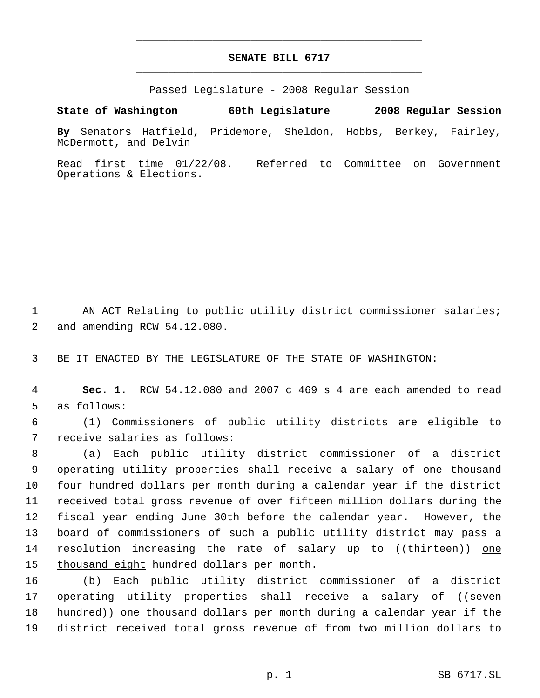## **SENATE BILL 6717** \_\_\_\_\_\_\_\_\_\_\_\_\_\_\_\_\_\_\_\_\_\_\_\_\_\_\_\_\_\_\_\_\_\_\_\_\_\_\_\_\_\_\_\_\_

\_\_\_\_\_\_\_\_\_\_\_\_\_\_\_\_\_\_\_\_\_\_\_\_\_\_\_\_\_\_\_\_\_\_\_\_\_\_\_\_\_\_\_\_\_

Passed Legislature - 2008 Regular Session

**State of Washington 60th Legislature 2008 Regular Session**

**By** Senators Hatfield, Pridemore, Sheldon, Hobbs, Berkey, Fairley, McDermott, and Delvin

Read first time 01/22/08. Referred to Committee on Government Operations & Elections.

1 AN ACT Relating to public utility district commissioner salaries; 2 and amending RCW 54.12.080.

3 BE IT ENACTED BY THE LEGISLATURE OF THE STATE OF WASHINGTON:

 4 **Sec. 1.** RCW 54.12.080 and 2007 c 469 s 4 are each amended to read 5 as follows:

 6 (1) Commissioners of public utility districts are eligible to 7 receive salaries as follows:

 (a) Each public utility district commissioner of a district operating utility properties shall receive a salary of one thousand four hundred dollars per month during a calendar year if the district received total gross revenue of over fifteen million dollars during the fiscal year ending June 30th before the calendar year. However, the board of commissioners of such a public utility district may pass a 14 resolution increasing the rate of salary up to ((thirteen)) one thousand eight hundred dollars per month.

16 (b) Each public utility district commissioner of a district 17 operating utility properties shall receive a salary of ((seven 18 hundred)) one thousand dollars per month during a calendar year if the 19 district received total gross revenue of from two million dollars to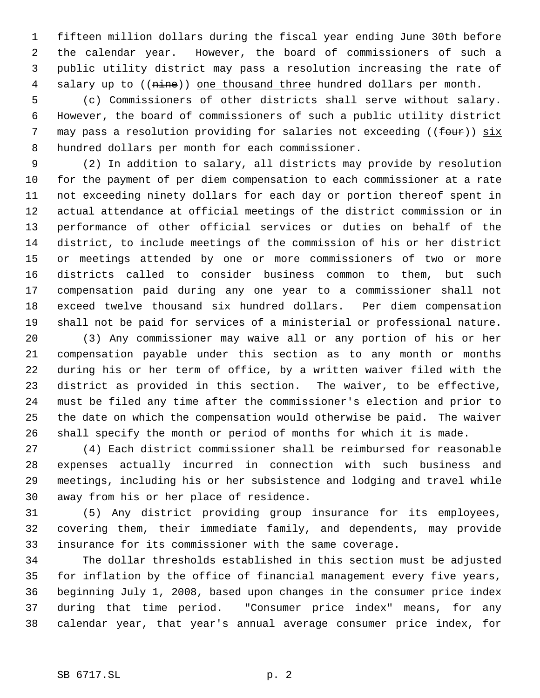fifteen million dollars during the fiscal year ending June 30th before the calendar year. However, the board of commissioners of such a public utility district may pass a resolution increasing the rate of 4 salary up to ((nine)) one thousand three hundred dollars per month.

 (c) Commissioners of other districts shall serve without salary. However, the board of commissioners of such a public utility district 7 may pass a resolution providing for salaries not exceeding ((four)) six hundred dollars per month for each commissioner.

 (2) In addition to salary, all districts may provide by resolution for the payment of per diem compensation to each commissioner at a rate not exceeding ninety dollars for each day or portion thereof spent in actual attendance at official meetings of the district commission or in performance of other official services or duties on behalf of the district, to include meetings of the commission of his or her district or meetings attended by one or more commissioners of two or more districts called to consider business common to them, but such compensation paid during any one year to a commissioner shall not exceed twelve thousand six hundred dollars. Per diem compensation shall not be paid for services of a ministerial or professional nature.

 (3) Any commissioner may waive all or any portion of his or her compensation payable under this section as to any month or months during his or her term of office, by a written waiver filed with the district as provided in this section. The waiver, to be effective, must be filed any time after the commissioner's election and prior to the date on which the compensation would otherwise be paid. The waiver shall specify the month or period of months for which it is made.

 (4) Each district commissioner shall be reimbursed for reasonable expenses actually incurred in connection with such business and meetings, including his or her subsistence and lodging and travel while away from his or her place of residence.

 (5) Any district providing group insurance for its employees, covering them, their immediate family, and dependents, may provide insurance for its commissioner with the same coverage.

 The dollar thresholds established in this section must be adjusted for inflation by the office of financial management every five years, beginning July 1, 2008, based upon changes in the consumer price index during that time period. "Consumer price index" means, for any calendar year, that year's annual average consumer price index, for